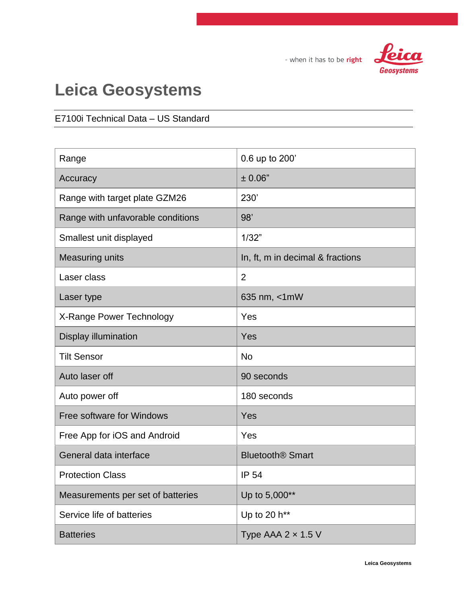

- when it has to be right

## **Leica Geosystems**

## E7100i Technical Data – US Standard

| Range                             | 0.6 up to 200'                     |
|-----------------------------------|------------------------------------|
| Accuracy                          | ± 0.06"                            |
| Range with target plate GZM26     | 230'                               |
| Range with unfavorable conditions | 98'                                |
| Smallest unit displayed           | 1/32"                              |
| <b>Measuring units</b>            | In, ft, m in decimal & fractions   |
| Laser class                       | $\overline{2}$                     |
| Laser type                        | 635 nm, <1mW                       |
| X-Range Power Technology          | Yes                                |
| Display illumination              | Yes                                |
| <b>Tilt Sensor</b>                | <b>No</b>                          |
| Auto laser off                    | 90 seconds                         |
| Auto power off                    | 180 seconds                        |
| Free software for Windows         | Yes                                |
| Free App for iOS and Android      | Yes                                |
| General data interface            | <b>Bluetooth<sup>®</sup> Smart</b> |
| <b>Protection Class</b>           | <b>IP 54</b>                       |
| Measurements per set of batteries | Up to 5,000**                      |
| Service life of batteries         | Up to 20 h**                       |
| <b>Batteries</b>                  | Type AAA $2 \times 1.5$ V          |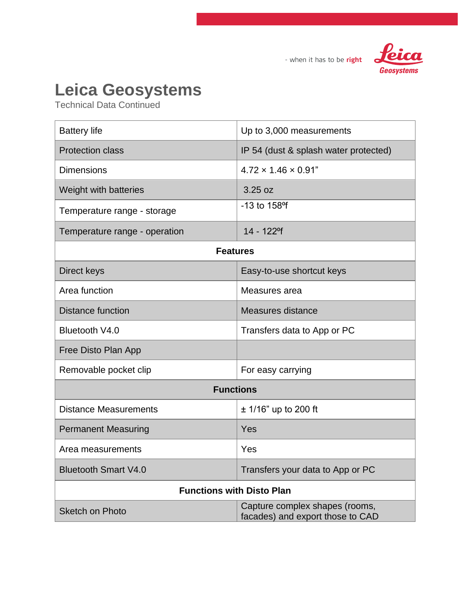

- when it has to be right

## **Leica Geosystems**

Technical Data Continued

| <b>Battery life</b>              | Up to 3,000 measurements                                           |  |
|----------------------------------|--------------------------------------------------------------------|--|
| <b>Protection class</b>          | IP 54 (dust & splash water protected)                              |  |
| <b>Dimensions</b>                | $4.72 \times 1.46 \times 0.91$ "                                   |  |
| Weight with batteries            | 3.25 oz                                                            |  |
| Temperature range - storage      | $-13$ to $158$ <sup>o</sup> f                                      |  |
| Temperature range - operation    | 14 - 122 <sup>o</sup> f                                            |  |
| <b>Features</b>                  |                                                                    |  |
| Direct keys                      | Easy-to-use shortcut keys                                          |  |
| Area function                    | Measures area                                                      |  |
| <b>Distance function</b>         | Measures distance                                                  |  |
| Bluetooth V4.0                   | Transfers data to App or PC                                        |  |
| Free Disto Plan App              |                                                                    |  |
| Removable pocket clip            | For easy carrying                                                  |  |
| <b>Functions</b>                 |                                                                    |  |
| <b>Distance Measurements</b>     | $± 1/16"$ up to 200 ft                                             |  |
| <b>Permanent Measuring</b>       | Yes                                                                |  |
| Area measurements                | Yes                                                                |  |
| <b>Bluetooth Smart V4.0</b>      | Transfers your data to App or PC                                   |  |
| <b>Functions with Disto Plan</b> |                                                                    |  |
| <b>Sketch on Photo</b>           | Capture complex shapes (rooms,<br>facades) and export those to CAD |  |